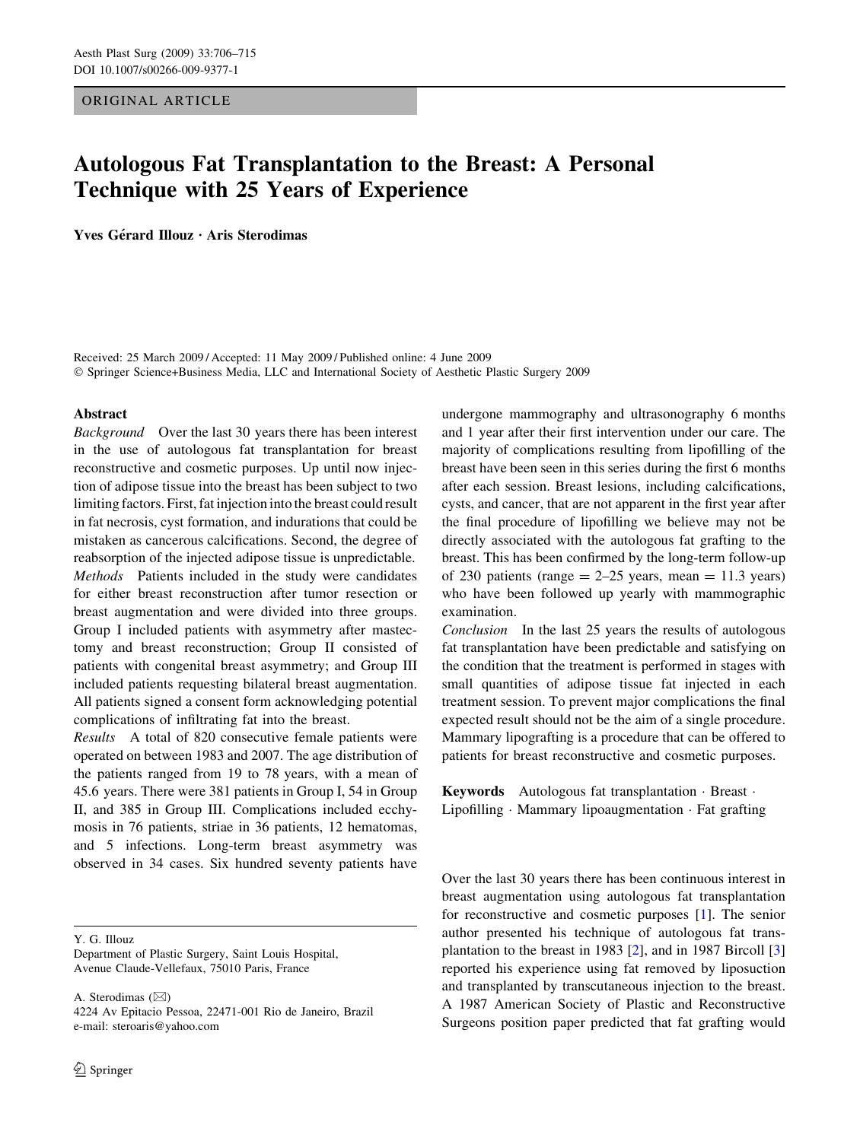## ORIGINAL ARTICLE

# Autologous Fat Transplantation to the Breast: A Personal Technique with 25 Years of Experience

Yves Gérard Illouz · Aris Sterodimas

Received: 25 March 2009 / Accepted: 11 May 2009 / Published online: 4 June 2009 Springer Science+Business Media, LLC and International Society of Aesthetic Plastic Surgery 2009

#### Abstract

Background Over the last 30 years there has been interest in the use of autologous fat transplantation for breast reconstructive and cosmetic purposes. Up until now injection of adipose tissue into the breast has been subject to two limiting factors. First, fat injection into the breast could result in fat necrosis, cyst formation, and indurations that could be mistaken as cancerous calcifications. Second, the degree of reabsorption of the injected adipose tissue is unpredictable. Methods Patients included in the study were candidates for either breast reconstruction after tumor resection or breast augmentation and were divided into three groups. Group I included patients with asymmetry after mastectomy and breast reconstruction; Group II consisted of patients with congenital breast asymmetry; and Group III included patients requesting bilateral breast augmentation. All patients signed a consent form acknowledging potential complications of infiltrating fat into the breast.

Results A total of 820 consecutive female patients were operated on between 1983 and 2007. The age distribution of the patients ranged from 19 to 78 years, with a mean of 45.6 years. There were 381 patients in Group I, 54 in Group II, and 385 in Group III. Complications included ecchymosis in 76 patients, striae in 36 patients, 12 hematomas, and 5 infections. Long-term breast asymmetry was observed in 34 cases. Six hundred seventy patients have

Y. G. Illouz

Department of Plastic Surgery, Saint Louis Hospital, Avenue Claude-Vellefaux, 75010 Paris, France

A. Sterodimas  $(\boxtimes)$ 4224 Av Epitacio Pessoa, 22471-001 Rio de Janeiro, Brazil e-mail: steroaris@yahoo.com

undergone mammography and ultrasonography 6 months and 1 year after their first intervention under our care. The majority of complications resulting from lipofilling of the breast have been seen in this series during the first 6 months after each session. Breast lesions, including calcifications, cysts, and cancer, that are not apparent in the first year after the final procedure of lipofilling we believe may not be directly associated with the autologous fat grafting to the breast. This has been confirmed by the long-term follow-up of 230 patients (range  $= 2-25$  years, mean  $= 11.3$  years) who have been followed up yearly with mammographic examination.

Conclusion In the last 25 years the results of autologous fat transplantation have been predictable and satisfying on the condition that the treatment is performed in stages with small quantities of adipose tissue fat injected in each treatment session. To prevent major complications the final expected result should not be the aim of a single procedure. Mammary lipografting is a procedure that can be offered to patients for breast reconstructive and cosmetic purposes.

**Keywords** Autologous fat transplantation  $\cdot$  Breast  $\cdot$ Lipofilling  $\cdot$  Mammary lipoaugmentation  $\cdot$  Fat grafting

Over the last 30 years there has been continuous interest in breast augmentation using autologous fat transplantation for reconstructive and cosmetic purposes [[1\]](#page-8-0). The senior author presented his technique of autologous fat transplantation to the breast in 1983 [[2\]](#page-8-0), and in 1987 Bircoll [[3\]](#page-8-0) reported his experience using fat removed by liposuction and transplanted by transcutaneous injection to the breast. A 1987 American Society of Plastic and Reconstructive Surgeons position paper predicted that fat grafting would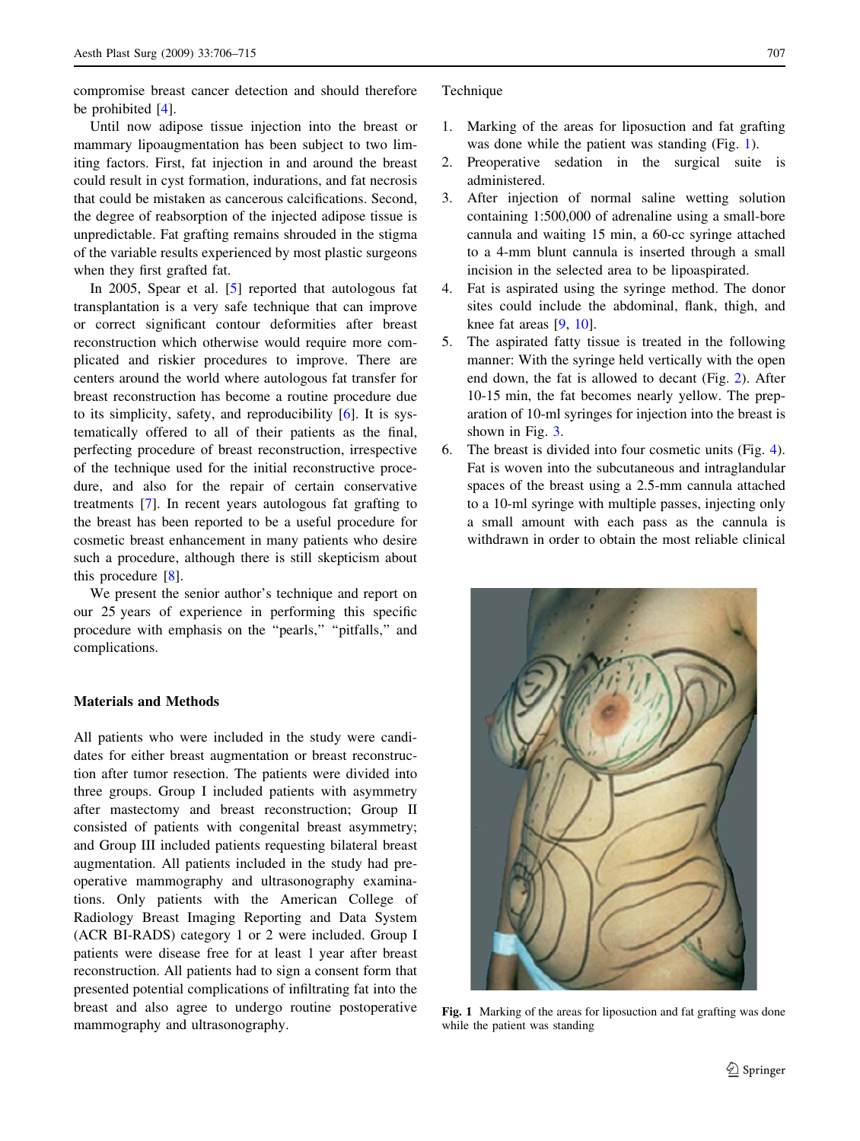compromise breast cancer detection and should therefore be prohibited [[4\]](#page-8-0).

Until now adipose tissue injection into the breast or mammary lipoaugmentation has been subject to two limiting factors. First, fat injection in and around the breast could result in cyst formation, indurations, and fat necrosis that could be mistaken as cancerous calcifications. Second, the degree of reabsorption of the injected adipose tissue is unpredictable. Fat grafting remains shrouded in the stigma of the variable results experienced by most plastic surgeons when they first grafted fat.

In 2005, Spear et al. [\[5](#page-8-0)] reported that autologous fat transplantation is a very safe technique that can improve or correct significant contour deformities after breast reconstruction which otherwise would require more complicated and riskier procedures to improve. There are centers around the world where autologous fat transfer for breast reconstruction has become a routine procedure due to its simplicity, safety, and reproducibility [[6\]](#page-8-0). It is systematically offered to all of their patients as the final, perfecting procedure of breast reconstruction, irrespective of the technique used for the initial reconstructive procedure, and also for the repair of certain conservative treatments [\[7](#page-8-0)]. In recent years autologous fat grafting to the breast has been reported to be a useful procedure for cosmetic breast enhancement in many patients who desire such a procedure, although there is still skepticism about this procedure [\[8](#page-9-0)].

We present the senior author's technique and report on our 25 years of experience in performing this specific procedure with emphasis on the "pearls," "pitfalls," and complications.

# Materials and Methods

All patients who were included in the study were candidates for either breast augmentation or breast reconstruction after tumor resection. The patients were divided into three groups. Group I included patients with asymmetry after mastectomy and breast reconstruction; Group II consisted of patients with congenital breast asymmetry; and Group III included patients requesting bilateral breast augmentation. All patients included in the study had preoperative mammography and ultrasonography examinations. Only patients with the American College of Radiology Breast Imaging Reporting and Data System (ACR BI-RADS) category 1 or 2 were included. Group I patients were disease free for at least 1 year after breast reconstruction. All patients had to sign a consent form that presented potential complications of infiltrating fat into the breast and also agree to undergo routine postoperative mammography and ultrasonography.

#### Technique

- 1. Marking of the areas for liposuction and fat grafting was done while the patient was standing (Fig. 1).
- 2. Preoperative sedation in the surgical suite is administered.
- 3. After injection of normal saline wetting solution containing 1:500,000 of adrenaline using a small-bore cannula and waiting 15 min, a 60-cc syringe attached to a 4-mm blunt cannula is inserted through a small incision in the selected area to be lipoaspirated.
- 4. Fat is aspirated using the syringe method. The donor sites could include the abdominal, flank, thigh, and knee fat areas [\[9](#page-9-0), [10\]](#page-9-0).
- 5. The aspirated fatty tissue is treated in the following manner: With the syringe held vertically with the open end down, the fat is allowed to decant (Fig. [2\)](#page-2-0). After 10-15 min, the fat becomes nearly yellow. The preparation of 10-ml syringes for injection into the breast is shown in Fig. [3](#page-2-0).
- 6. The breast is divided into four cosmetic units (Fig. [4](#page-2-0)). Fat is woven into the subcutaneous and intraglandular spaces of the breast using a 2.5-mm cannula attached to a 10-ml syringe with multiple passes, injecting only a small amount with each pass as the cannula is withdrawn in order to obtain the most reliable clinical



Fig. 1 Marking of the areas for liposuction and fat grafting was done while the patient was standing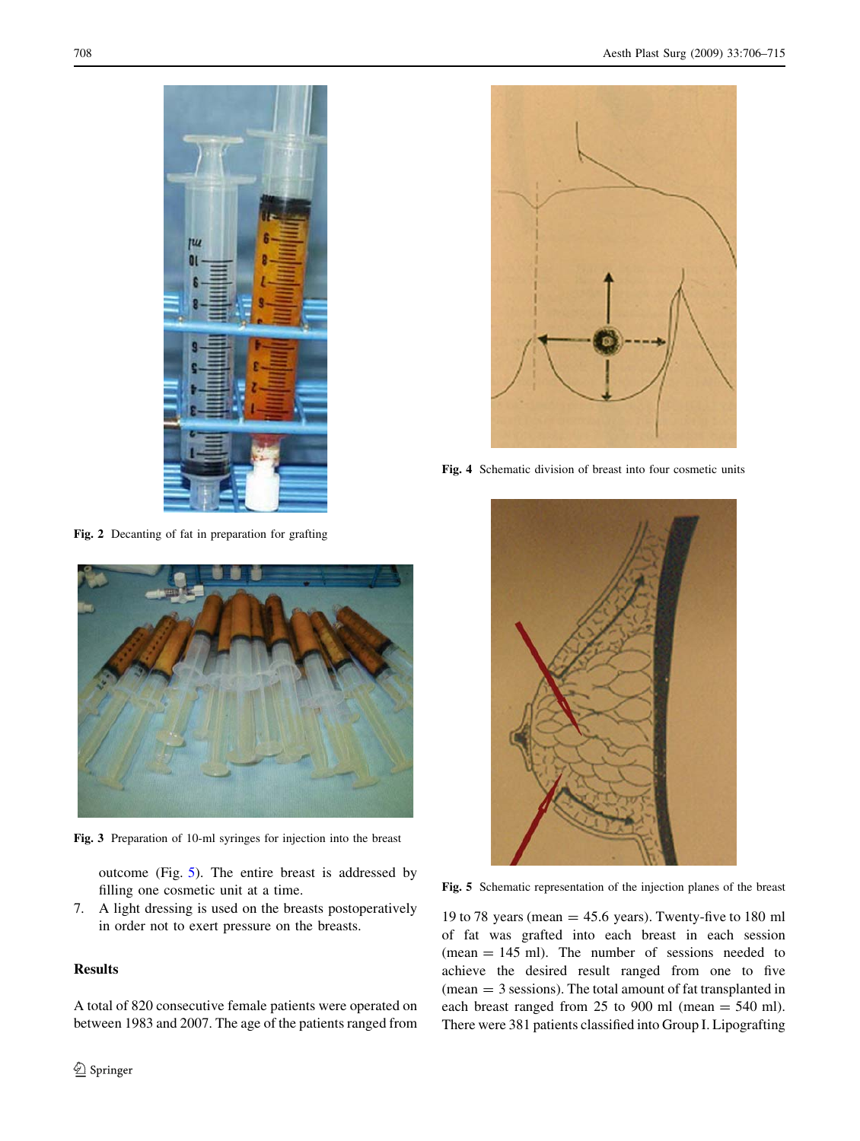<span id="page-2-0"></span>



Fig. 2 Decanting of fat in preparation for grafting



Fig. 3 Preparation of 10-ml syringes for injection into the breast

outcome (Fig. 5). The entire breast is addressed by filling one cosmetic unit at a time.

7. A light dressing is used on the breasts postoperatively in order not to exert pressure on the breasts.

# Results

A total of 820 consecutive female patients were operated on between 1983 and 2007. The age of the patients ranged from



Fig. 4 Schematic division of breast into four cosmetic units



Fig. 5 Schematic representation of the injection planes of the breast

19 to 78 years (mean  $=$  45.6 years). Twenty-five to 180 ml of fat was grafted into each breast in each session  $(mean = 145 \text{ ml})$ . The number of sessions needed to achieve the desired result ranged from one to five (mean = 3 sessions). The total amount of fat transplanted in each breast ranged from 25 to 900 ml (mean  $=$  540 ml). There were 381 patients classified into Group I. Lipografting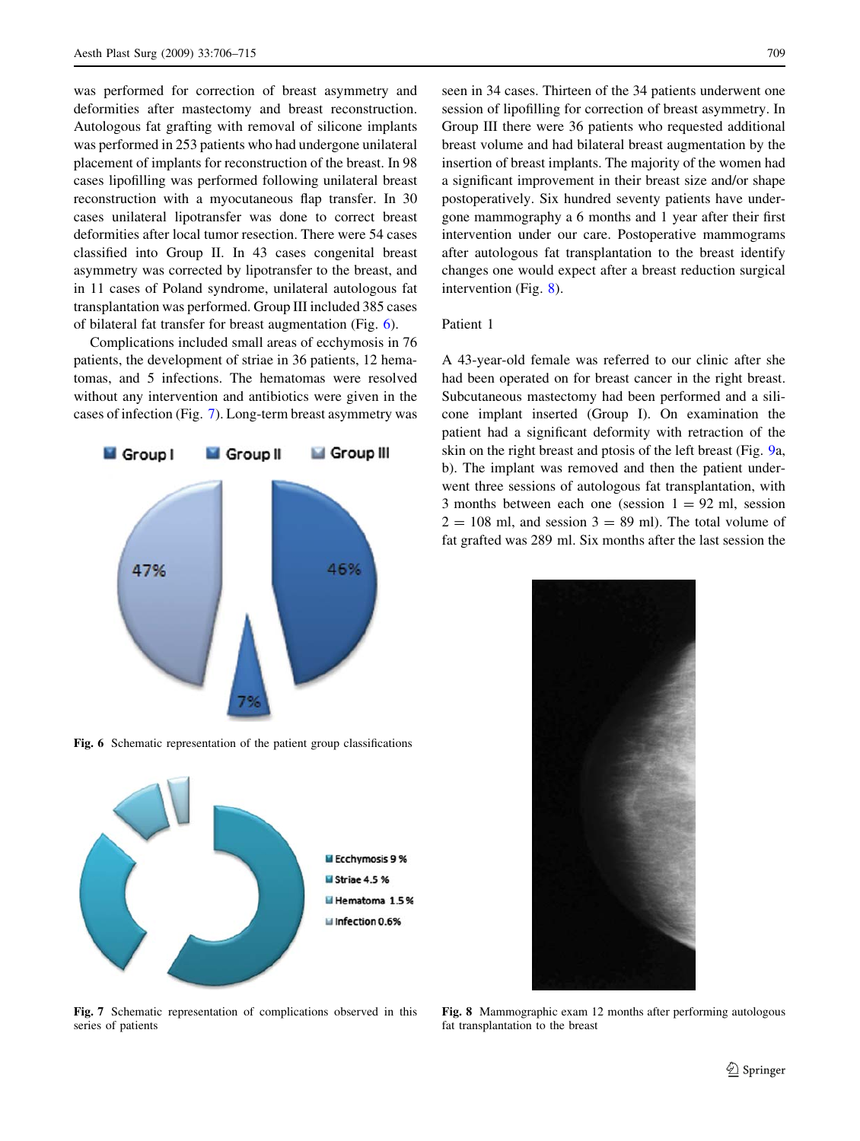was performed for correction of breast asymmetry and deformities after mastectomy and breast reconstruction. Autologous fat grafting with removal of silicone implants was performed in 253 patients who had undergone unilateral placement of implants for reconstruction of the breast. In 98 cases lipofilling was performed following unilateral breast reconstruction with a myocutaneous flap transfer. In 30 cases unilateral lipotransfer was done to correct breast deformities after local tumor resection. There were 54 cases classified into Group II. In 43 cases congenital breast asymmetry was corrected by lipotransfer to the breast, and in 11 cases of Poland syndrome, unilateral autologous fat transplantation was performed. Group III included 385 cases of bilateral fat transfer for breast augmentation (Fig. 6).

Complications included small areas of ecchymosis in 76 patients, the development of striae in 36 patients, 12 hematomas, and 5 infections. The hematomas were resolved without any intervention and antibiotics were given in the cases of infection (Fig. 7). Long-term breast asymmetry was



Fig. 6 Schematic representation of the patient group classifications



Fig. 7 Schematic representation of complications observed in this series of patients

seen in 34 cases. Thirteen of the 34 patients underwent one session of lipofilling for correction of breast asymmetry. In Group III there were 36 patients who requested additional breast volume and had bilateral breast augmentation by the insertion of breast implants. The majority of the women had a significant improvement in their breast size and/or shape postoperatively. Six hundred seventy patients have undergone mammography a 6 months and 1 year after their first intervention under our care. Postoperative mammograms after autologous fat transplantation to the breast identify changes one would expect after a breast reduction surgical intervention (Fig. 8).

# Patient 1

A 43-year-old female was referred to our clinic after she had been operated on for breast cancer in the right breast. Subcutaneous mastectomy had been performed and a silicone implant inserted (Group I). On examination the patient had a significant deformity with retraction of the skin on the right breast and ptosis of the left breast (Fig. [9](#page-4-0)a, b). The implant was removed and then the patient underwent three sessions of autologous fat transplantation, with 3 months between each one (session  $1 = 92$  ml, session  $2 = 108$  ml, and session  $3 = 89$  ml). The total volume of fat grafted was 289 ml. Six months after the last session the



Fig. 8 Mammographic exam 12 months after performing autologous fat transplantation to the breast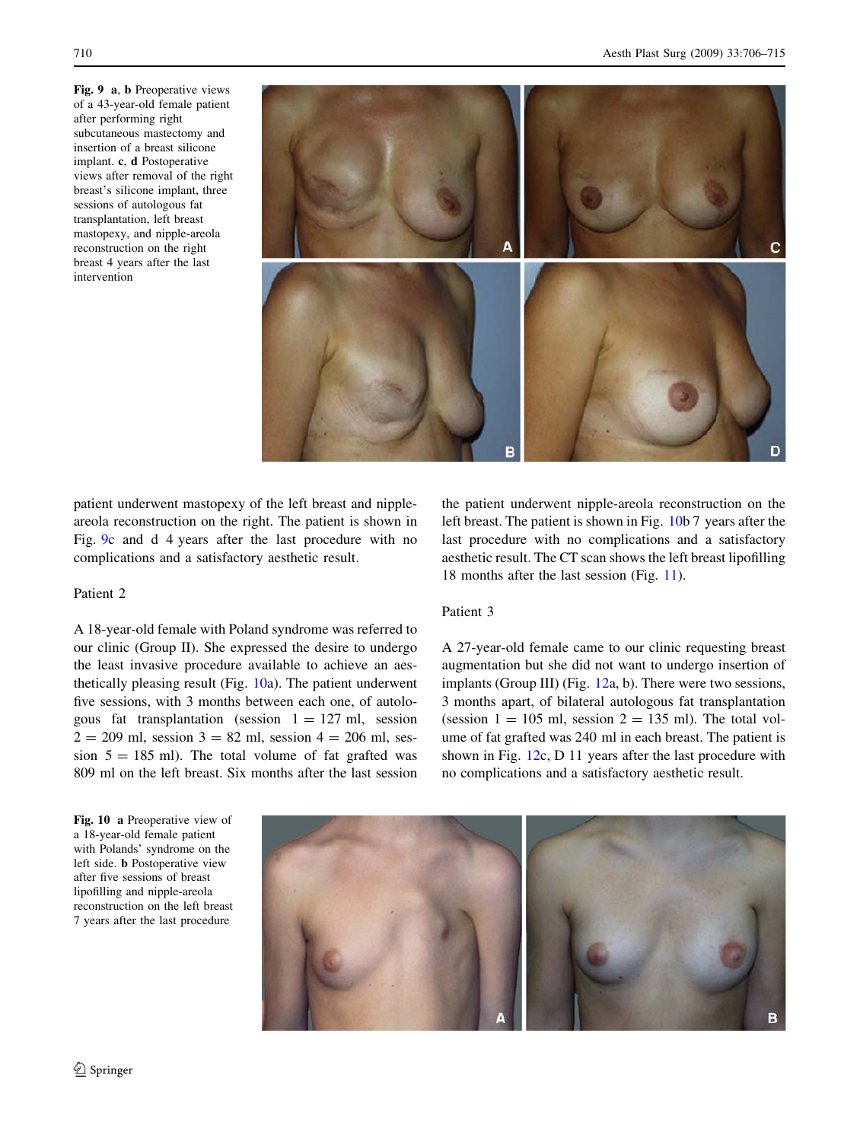<span id="page-4-0"></span>Fig. 9 a, b Preoperative views of a 43-year-old female patient after performing right subcutaneous mastectomy and insertion of a breast silicone implant. c, d Postoperative views after removal of the right breast's silicone implant, three sessions of autologous fat transplantation, left breast mastopexy, and nipple-areola reconstruction on the right breast 4 years after the last intervention



patient underwent mastopexy of the left breast and nippleareola reconstruction on the right. The patient is shown in Fig. 9c and d 4 years after the last procedure with no complications and a satisfactory aesthetic result.

## Patient 2

A 18-year-old female with Poland syndrome was referred to our clinic (Group II). She expressed the desire to undergo the least invasive procedure available to achieve an aesthetically pleasing result (Fig. 10a). The patient underwent five sessions, with 3 months between each one, of autologous fat transplantation (session  $1 = 127$  ml, session  $2 = 209$  ml, session  $3 = 82$  ml, session  $4 = 206$  ml, session  $5 = 185$  ml). The total volume of fat grafted was 809 ml on the left breast. Six months after the last session the patient underwent nipple-areola reconstruction on the left breast. The patient is shown in Fig. 10b 7 years after the last procedure with no complications and a satisfactory aesthetic result. The CT scan shows the left breast lipofilling 18 months after the last session (Fig. [11\)](#page-5-0).

## Patient 3

A 27-year-old female came to our clinic requesting breast augmentation but she did not want to undergo insertion of implants (Group III) (Fig. [12](#page-5-0)a, b). There were two sessions, 3 months apart, of bilateral autologous fat transplantation (session  $1 = 105$  ml, session  $2 = 135$  ml). The total volume of fat grafted was 240 ml in each breast. The patient is shown in Fig. [12](#page-5-0)c, D 11 years after the last procedure with no complications and a satisfactory aesthetic result.

Fig. 10 a Preoperative view of a 18-year-old female patient with Polands' syndrome on the left side. b Postoperative view after five sessions of breast lipofilling and nipple-areola reconstruction on the left breast 7 years after the last procedure

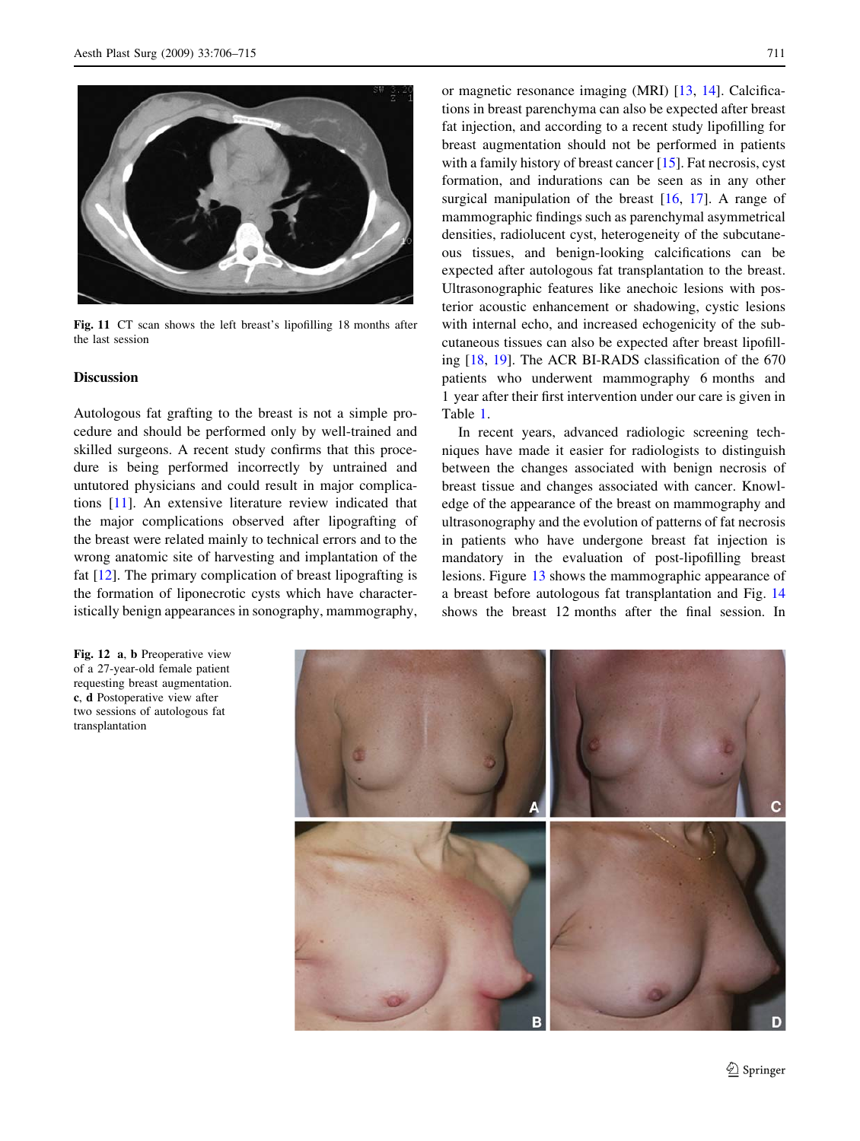<span id="page-5-0"></span>

Fig. 11 CT scan shows the left breast's lipofilling 18 months after the last session

## Discussion

Autologous fat grafting to the breast is not a simple procedure and should be performed only by well-trained and skilled surgeons. A recent study confirms that this procedure is being performed incorrectly by untrained and untutored physicians and could result in major complications [[11\]](#page-9-0). An extensive literature review indicated that the major complications observed after lipografting of the breast were related mainly to technical errors and to the wrong anatomic site of harvesting and implantation of the fat  $[12]$  $[12]$ . The primary complication of breast lipografting is the formation of liponecrotic cysts which have characteristically benign appearances in sonography, mammography,

Fig. 12 a, b Preoperative view of a 27-year-old female patient requesting breast augmentation. c, d Postoperative view after two sessions of autologous fat transplantation

or magnetic resonance imaging (MRI) [\[13](#page-9-0), [14](#page-9-0)]. Calcifications in breast parenchyma can also be expected after breast fat injection, and according to a recent study lipofilling for breast augmentation should not be performed in patients with a family history of breast cancer [\[15](#page-9-0)]. Fat necrosis, cyst formation, and indurations can be seen as in any other surgical manipulation of the breast [[16,](#page-9-0) [17\]](#page-9-0). A range of mammographic findings such as parenchymal asymmetrical densities, radiolucent cyst, heterogeneity of the subcutaneous tissues, and benign-looking calcifications can be expected after autologous fat transplantation to the breast. Ultrasonographic features like anechoic lesions with posterior acoustic enhancement or shadowing, cystic lesions with internal echo, and increased echogenicity of the subcutaneous tissues can also be expected after breast lipofilling [[18,](#page-9-0) [19](#page-9-0)]. The ACR BI-RADS classification of the 670 patients who underwent mammography 6 months and 1 year after their first intervention under our care is given in Table [1](#page-6-0).

In recent years, advanced radiologic screening techniques have made it easier for radiologists to distinguish between the changes associated with benign necrosis of breast tissue and changes associated with cancer. Knowledge of the appearance of the breast on mammography and ultrasonography and the evolution of patterns of fat necrosis in patients who have undergone breast fat injection is mandatory in the evaluation of post-lipofilling breast lesions. Figure [13](#page-6-0) shows the mammographic appearance of a breast before autologous fat transplantation and Fig. [14](#page-6-0) shows the breast 12 months after the final session. In

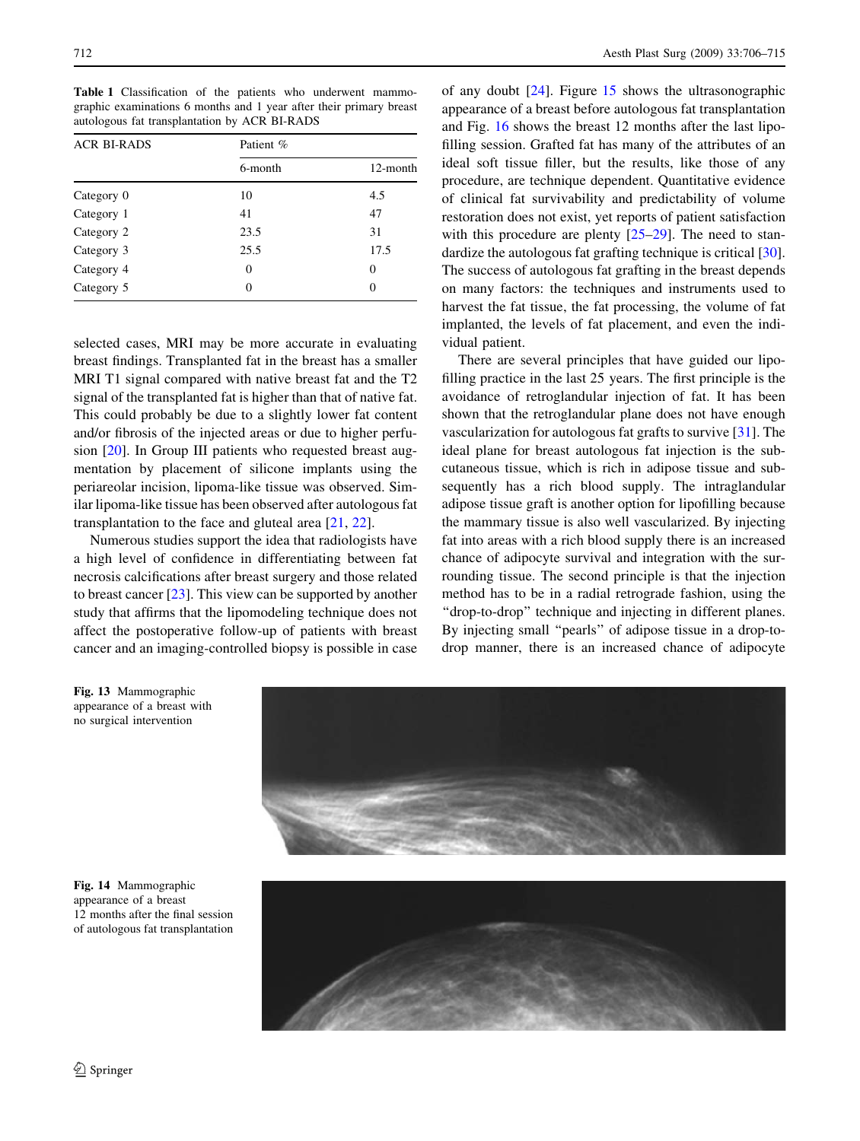<span id="page-6-0"></span>Table 1 Classification of the patients who underwent mammographic examinations 6 months and 1 year after their primary breast autologous fat transplantation by ACR BI-RADS

| <b>ACR BI-RADS</b> | Patient % |          |
|--------------------|-----------|----------|
|                    | 6-month   | 12-month |
| Category 0         | 10        | 4.5      |
| Category 1         | 41        | 47       |
| Category 2         | 23.5      | 31       |
| Category 3         | 25.5      | 17.5     |
| Category 4         | $\theta$  | 0        |
| Category 5         | 0         |          |

selected cases, MRI may be more accurate in evaluating breast findings. Transplanted fat in the breast has a smaller MRI T1 signal compared with native breast fat and the T2 signal of the transplanted fat is higher than that of native fat. This could probably be due to a slightly lower fat content and/or fibrosis of the injected areas or due to higher perfusion [\[20](#page-9-0)]. In Group III patients who requested breast augmentation by placement of silicone implants using the periareolar incision, lipoma-like tissue was observed. Similar lipoma-like tissue has been observed after autologous fat transplantation to the face and gluteal area [[21,](#page-9-0) [22](#page-9-0)].

Numerous studies support the idea that radiologists have a high level of confidence in differentiating between fat necrosis calcifications after breast surgery and those related to breast cancer [[23\]](#page-9-0). This view can be supported by another study that affirms that the lipomodeling technique does not affect the postoperative follow-up of patients with breast cancer and an imaging-controlled biopsy is possible in case of any doubt [[24\]](#page-9-0). Figure [15](#page-7-0) shows the ultrasonographic appearance of a breast before autologous fat transplantation and Fig. [16](#page-7-0) shows the breast 12 months after the last lipofilling session. Grafted fat has many of the attributes of an ideal soft tissue filler, but the results, like those of any procedure, are technique dependent. Quantitative evidence of clinical fat survivability and predictability of volume restoration does not exist, yet reports of patient satisfaction with this procedure are plenty [\[25–29](#page-9-0)]. The need to standardize the autologous fat grafting technique is critical [\[30](#page-9-0)]. The success of autologous fat grafting in the breast depends on many factors: the techniques and instruments used to harvest the fat tissue, the fat processing, the volume of fat implanted, the levels of fat placement, and even the individual patient.

There are several principles that have guided our lipofilling practice in the last 25 years. The first principle is the avoidance of retroglandular injection of fat. It has been shown that the retroglandular plane does not have enough vascularization for autologous fat grafts to survive [[31\]](#page-9-0). The ideal plane for breast autologous fat injection is the subcutaneous tissue, which is rich in adipose tissue and subsequently has a rich blood supply. The intraglandular adipose tissue graft is another option for lipofilling because the mammary tissue is also well vascularized. By injecting fat into areas with a rich blood supply there is an increased chance of adipocyte survival and integration with the surrounding tissue. The second principle is that the injection method has to be in a radial retrograde fashion, using the ''drop-to-drop'' technique and injecting in different planes. By injecting small ''pearls'' of adipose tissue in a drop-todrop manner, there is an increased chance of adipocyte

Fig. 13 Mammographic appearance of a breast with no surgical intervention



Fig. 14 Mammographic appearance of a breast 12 months after the final session of autologous fat transplantation

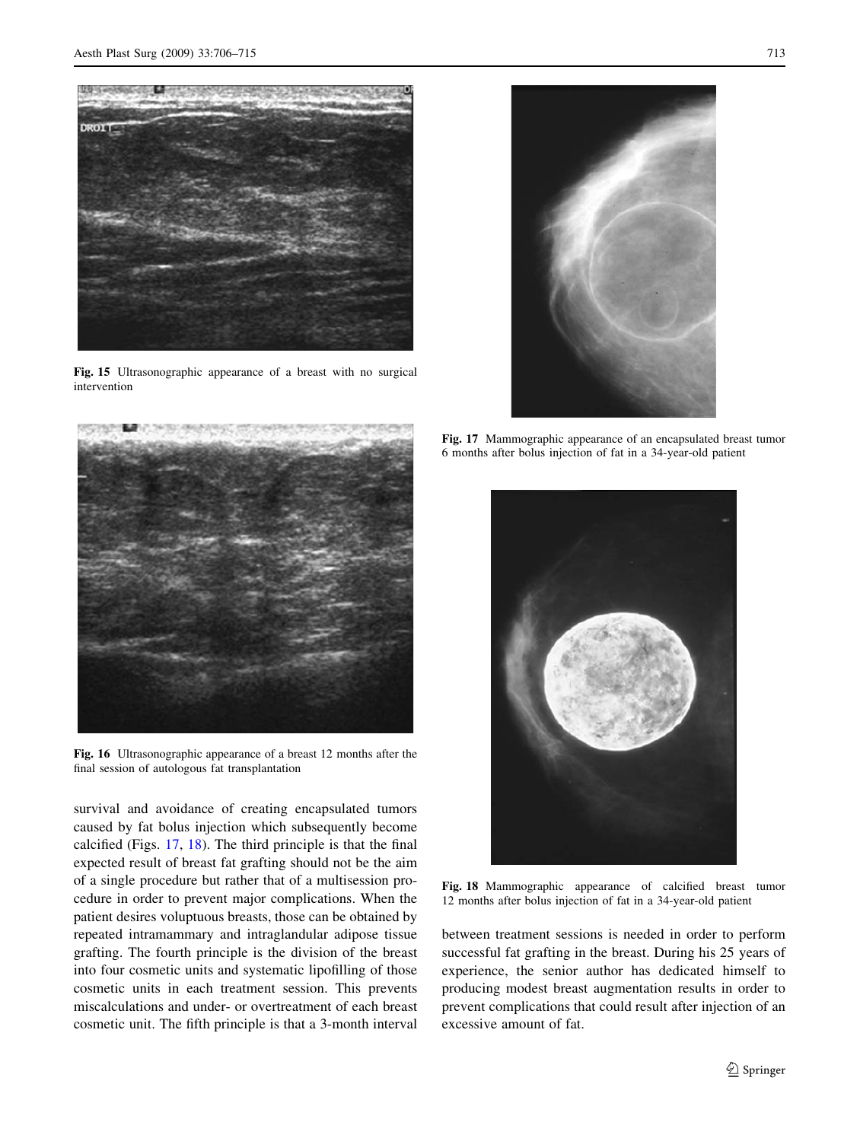<span id="page-7-0"></span>

Fig. 15 Ultrasonographic appearance of a breast with no surgical intervention



Fig. 16 Ultrasonographic appearance of a breast 12 months after the final session of autologous fat transplantation

survival and avoidance of creating encapsulated tumors caused by fat bolus injection which subsequently become calcified (Figs. 17, 18). The third principle is that the final expected result of breast fat grafting should not be the aim of a single procedure but rather that of a multisession procedure in order to prevent major complications. When the patient desires voluptuous breasts, those can be obtained by repeated intramammary and intraglandular adipose tissue grafting. The fourth principle is the division of the breast into four cosmetic units and systematic lipofilling of those cosmetic units in each treatment session. This prevents miscalculations and under- or overtreatment of each breast cosmetic unit. The fifth principle is that a 3-month interval

Fig. 17 Mammographic appearance of an encapsulated breast tumor 6 months after bolus injection of fat in a 34-year-old patient

![](_page_7_Picture_8.jpeg)

Fig. 18 Mammographic appearance of calcified breast tumor 12 months after bolus injection of fat in a 34-year-old patient

between treatment sessions is needed in order to perform successful fat grafting in the breast. During his 25 years of experience, the senior author has dedicated himself to producing modest breast augmentation results in order to prevent complications that could result after injection of an excessive amount of fat.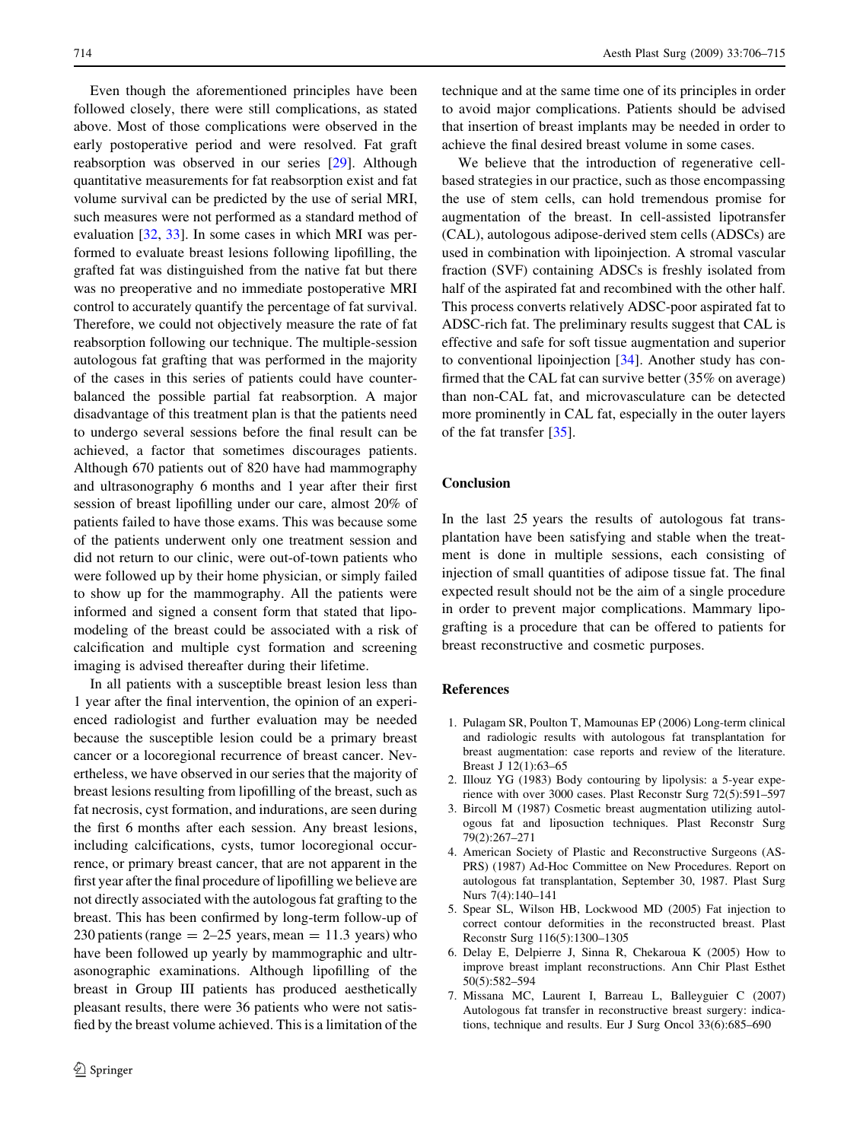<span id="page-8-0"></span>Even though the aforementioned principles have been followed closely, there were still complications, as stated above. Most of those complications were observed in the early postoperative period and were resolved. Fat graft reabsorption was observed in our series [\[29](#page-9-0)]. Although quantitative measurements for fat reabsorption exist and fat volume survival can be predicted by the use of serial MRI, such measures were not performed as a standard method of evaluation [\[32](#page-9-0), [33\]](#page-9-0). In some cases in which MRI was performed to evaluate breast lesions following lipofilling, the grafted fat was distinguished from the native fat but there was no preoperative and no immediate postoperative MRI control to accurately quantify the percentage of fat survival. Therefore, we could not objectively measure the rate of fat reabsorption following our technique. The multiple-session autologous fat grafting that was performed in the majority of the cases in this series of patients could have counterbalanced the possible partial fat reabsorption. A major disadvantage of this treatment plan is that the patients need to undergo several sessions before the final result can be achieved, a factor that sometimes discourages patients. Although 670 patients out of 820 have had mammography and ultrasonography 6 months and 1 year after their first session of breast lipofilling under our care, almost 20% of patients failed to have those exams. This was because some of the patients underwent only one treatment session and did not return to our clinic, were out-of-town patients who were followed up by their home physician, or simply failed to show up for the mammography. All the patients were informed and signed a consent form that stated that lipomodeling of the breast could be associated with a risk of calcification and multiple cyst formation and screening imaging is advised thereafter during their lifetime.

In all patients with a susceptible breast lesion less than 1 year after the final intervention, the opinion of an experienced radiologist and further evaluation may be needed because the susceptible lesion could be a primary breast cancer or a locoregional recurrence of breast cancer. Nevertheless, we have observed in our series that the majority of breast lesions resulting from lipofilling of the breast, such as fat necrosis, cyst formation, and indurations, are seen during the first 6 months after each session. Any breast lesions, including calcifications, cysts, tumor locoregional occurrence, or primary breast cancer, that are not apparent in the first year after the final procedure of lipofilling we believe are not directly associated with the autologous fat grafting to the breast. This has been confirmed by long-term follow-up of 230 patients (range  $= 2-25$  years, mean  $= 11.3$  years) who have been followed up yearly by mammographic and ultrasonographic examinations. Although lipofilling of the breast in Group III patients has produced aesthetically pleasant results, there were 36 patients who were not satisfied by the breast volume achieved. This is a limitation of the technique and at the same time one of its principles in order to avoid major complications. Patients should be advised that insertion of breast implants may be needed in order to achieve the final desired breast volume in some cases.

We believe that the introduction of regenerative cellbased strategies in our practice, such as those encompassing the use of stem cells, can hold tremendous promise for augmentation of the breast. In cell-assisted lipotransfer (CAL), autologous adipose-derived stem cells (ADSCs) are used in combination with lipoinjection. A stromal vascular fraction (SVF) containing ADSCs is freshly isolated from half of the aspirated fat and recombined with the other half. This process converts relatively ADSC-poor aspirated fat to ADSC-rich fat. The preliminary results suggest that CAL is effective and safe for soft tissue augmentation and superior to conventional lipoinjection [[34\]](#page-9-0). Another study has confirmed that the CAL fat can survive better (35% on average) than non-CAL fat, and microvasculature can be detected more prominently in CAL fat, especially in the outer layers of the fat transfer [\[35](#page-9-0)].

## Conclusion

In the last 25 years the results of autologous fat transplantation have been satisfying and stable when the treatment is done in multiple sessions, each consisting of injection of small quantities of adipose tissue fat. The final expected result should not be the aim of a single procedure in order to prevent major complications. Mammary lipografting is a procedure that can be offered to patients for breast reconstructive and cosmetic purposes.

#### References

- 1. Pulagam SR, Poulton T, Mamounas EP (2006) Long-term clinical and radiologic results with autologous fat transplantation for breast augmentation: case reports and review of the literature. Breast J 12(1):63–65
- 2. Illouz YG (1983) Body contouring by lipolysis: a 5-year experience with over 3000 cases. Plast Reconstr Surg 72(5):591–597
- 3. Bircoll M (1987) Cosmetic breast augmentation utilizing autologous fat and liposuction techniques. Plast Reconstr Surg 79(2):267–271
- 4. American Society of Plastic and Reconstructive Surgeons (AS-PRS) (1987) Ad-Hoc Committee on New Procedures. Report on autologous fat transplantation, September 30, 1987. Plast Surg Nurs 7(4):140–141
- 5. Spear SL, Wilson HB, Lockwood MD (2005) Fat injection to correct contour deformities in the reconstructed breast. Plast Reconstr Surg 116(5):1300–1305
- 6. Delay E, Delpierre J, Sinna R, Chekaroua K (2005) How to improve breast implant reconstructions. Ann Chir Plast Esthet 50(5):582–594
- 7. Missana MC, Laurent I, Barreau L, Balleyguier C (2007) Autologous fat transfer in reconstructive breast surgery: indications, technique and results. Eur J Surg Oncol 33(6):685–690